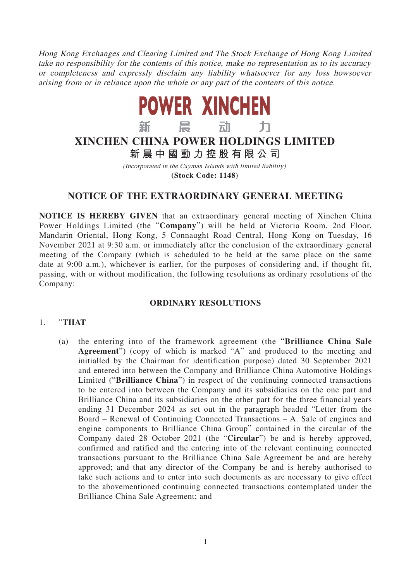Hong Kong Exchanges and Clearing Limited and The Stock Exchange of Hong Kong Limited take no responsibility for the contents of this notice, make no representation as to its accuracy or completeness and expressly disclaim any liability whatsoever for any loss howsoever arising from or in reliance upon the whole or any part of the contents of this notice.



# **XINCHEN CHINA POWER HOLDINGS LIMITED 新晨中國動力控股有限公 司**

(Incorporated in the Cayman Islands with limited liability) **(Stock Code: 1148)**

## **NOTICE OF THE EXTRAORDINARY GENERAL MEETING**

**NOTICE IS HEREBY GIVEN** that an extraordinary general meeting of Xinchen China Power Holdings Limited (the "**Company**") will be held at Victoria Room, 2nd Floor, Mandarin Oriental, Hong Kong, 5 Connaught Road Central, Hong Kong on Tuesday, 16 November 2021 at 9:30 a.m. or immediately after the conclusion of the extraordinary general meeting of the Company (which is scheduled to be held at the same place on the same date at 9:00 a.m.), whichever is earlier, for the purposes of considering and, if thought fit, passing, with or without modification, the following resolutions as ordinary resolutions of the Company:

#### **ORDINARY RESOLUTIONS**

#### 1. "**THAT**

(a) the entering into of the framework agreement (the "**Brilliance China Sale Agreement**") (copy of which is marked "A" and produced to the meeting and initialled by the Chairman for identification purpose) dated 30 September 2021 and entered into between the Company and Brilliance China Automotive Holdings Limited ("**Brilliance China**") in respect of the continuing connected transactions to be entered into between the Company and its subsidiaries on the one part and Brilliance China and its subsidiaries on the other part for the three financial years ending 31 December 2024 as set out in the paragraph headed "Letter from the Board – Renewal of Continuing Connected Transactions – A. Sale of engines and engine components to Brilliance China Group" contained in the circular of the Company dated 28 October 2021 (the "**Circular**") be and is hereby approved, confirmed and ratified and the entering into of the relevant continuing connected transactions pursuant to the Brilliance China Sale Agreement be and are hereby approved; and that any director of the Company be and is hereby authorised to take such actions and to enter into such documents as are necessary to give effect to the abovementioned continuing connected transactions contemplated under the Brilliance China Sale Agreement; and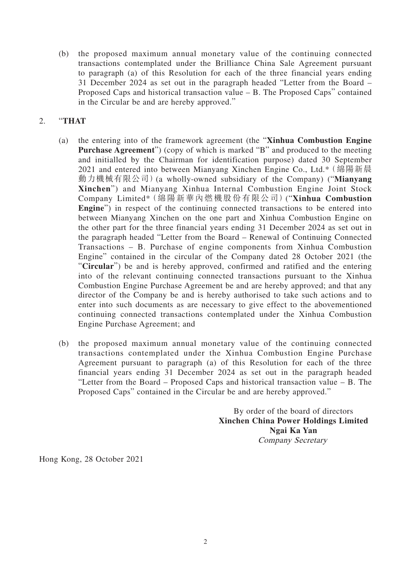(b) the proposed maximum annual monetary value of the continuing connected transactions contemplated under the Brilliance China Sale Agreement pursuant to paragraph (a) of this Resolution for each of the three financial years ending 31 December 2024 as set out in the paragraph headed "Letter from the Board – Proposed Caps and historical transaction value – B. The Proposed Caps" contained in the Circular be and are hereby approved."

### 2. "**THAT**

- (a) the entering into of the framework agreement (the "**Xinhua Combustion Engine Purchase Agreement**") (copy of which is marked "B" and produced to the meeting and initialled by the Chairman for identification purpose) dated 30 September 2021 and entered into between Mianyang Xinchen Engine Co., Ltd.\*(綿陽新晨 動力機械有限公司)(a wholly-owned subsidiary of the Company) ("**Mianyang Xinchen**") and Mianyang Xinhua Internal Combustion Engine Joint Stock Company Limited\*(綿陽新華內燃機股份有限公司)("**Xinhua Combustion Engine**") in respect of the continuing connected transactions to be entered into between Mianyang Xinchen on the one part and Xinhua Combustion Engine on the other part for the three financial years ending 31 December 2024 as set out in the paragraph headed "Letter from the Board – Renewal of Continuing Connected Transactions – B. Purchase of engine components from Xinhua Combustion Engine" contained in the circular of the Company dated 28 October 2021 (the "**Circular**") be and is hereby approved, confirmed and ratified and the entering into of the relevant continuing connected transactions pursuant to the Xinhua Combustion Engine Purchase Agreement be and are hereby approved; and that any director of the Company be and is hereby authorised to take such actions and to enter into such documents as are necessary to give effect to the abovementioned continuing connected transactions contemplated under the Xinhua Combustion Engine Purchase Agreement; and
- (b) the proposed maximum annual monetary value of the continuing connected transactions contemplated under the Xinhua Combustion Engine Purchase Agreement pursuant to paragraph (a) of this Resolution for each of the three financial years ending 31 December 2024 as set out in the paragraph headed "Letter from the Board – Proposed Caps and historical transaction value – B. The Proposed Caps" contained in the Circular be and are hereby approved."

By order of the board of directors **Xinchen China Power Holdings Limited Ngai Ka Yan** Company Secretary

Hong Kong, 28 October 2021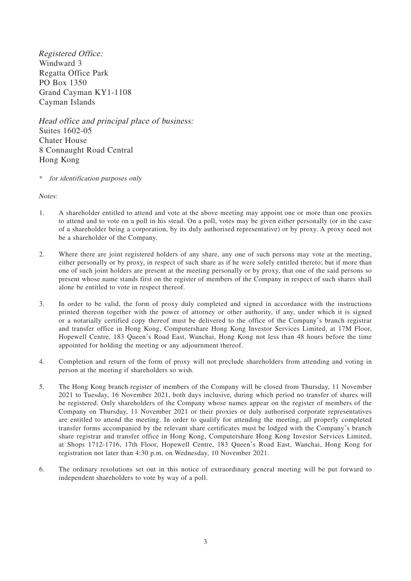Registered Office: Windward 3 Regatta Office Park PO Box 1350 Grand Cayman KY1-1108 Cayman Islands

Head office and principal place of business: Suites 1602-05 Chater House 8 Connaught Road Central Hong Kong

\* for identification purposes only

Notes:

- 1. A shareholder entitled to attend and vote at the above meeting may appoint one or more than one proxies to attend and to vote on a poll in his stead. On a poll, votes may be given either personally (or in the case of a shareholder being a corporation, by its duly authorised representative) or by proxy. A proxy need not be a shareholder of the Company.
- 2. Where there are joint registered holders of any share, any one of such persons may vote at the meeting, either personally or by proxy, in respect of such share as if he were solely entitled thereto; but if more than one of such joint holders are present at the meeting personally or by proxy, that one of the said persons so present whose name stands first on the register of members of the Company in respect of such shares shall alone be entitled to vote in respect thereof.
- 3. In order to be valid, the form of proxy duly completed and signed in accordance with the instructions printed thereon together with the power of attorney or other authority, if any, under which it is signed or a notarially certified copy thereof must be delivered to the office of the Company's branch registrar and transfer office in Hong Kong, Computershare Hong Kong Investor Services Limited, at 17M Floor, Hopewell Centre, 183 Queen's Road East, Wanchai, Hong Kong not less than 48 hours before the time appointed for holding the meeting or any adjournment thereof.
- 4. Completion and return of the form of proxy will not preclude shareholders from attending and voting in person at the meeting if shareholders so wish.
- 5. The Hong Kong branch register of members of the Company will be closed from Thursday, 11 November 2021 to Tuesday, 16 November 2021, both days inclusive, during which period no transfer of shares will be registered. Only shareholders of the Company whose names appear on the register of members of the Company on Thursday, 11 November 2021 or their proxies or duly authorised corporate representatives are entitled to attend the meeting. In order to qualify for attending the meeting, all properly completed transfer forms accompanied by the relevant share certificates must be lodged with the Company's branch share registrar and transfer office in Hong Kong, Computershare Hong Kong Investor Services Limited, at Shops 1712-1716, 17th Floor, Hopewell Centre, 183 Queen's Road East, Wanchai, Hong Kong for registration not later than 4:30 p.m. on Wednesday, 10 November 2021.
- 6. The ordinary resolutions set out in this notice of extraordinary general meeting will be put forward to independent shareholders to vote by way of a poll.